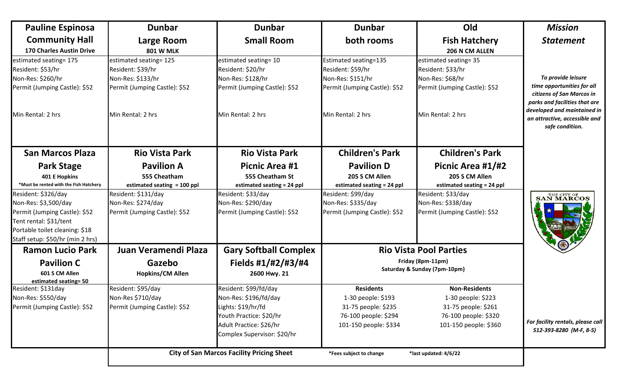| <b>Pauline Espinosa</b>                                            | <b>Dunbar</b>                                      | <b>Dunbar</b>                                           | <b>Dunbar</b>                                      | Old                                                | <b>Mission</b>                                                                                                          |
|--------------------------------------------------------------------|----------------------------------------------------|---------------------------------------------------------|----------------------------------------------------|----------------------------------------------------|-------------------------------------------------------------------------------------------------------------------------|
| <b>Community Hall</b><br><b>170 Charles Austin Drive</b>           | Large Room<br><b>801 W MLK</b>                     | <b>Small Room</b>                                       | both rooms                                         | <b>Fish Hatchery</b><br>206 N CM ALLEN             | <b>Statement</b>                                                                                                        |
| estimated seating= 175                                             | estimated seating= 125                             | estimated seating= 10                                   | Estimated seating=135                              | estimated seating= 35                              |                                                                                                                         |
| Resident: \$53/hr                                                  | Resident: \$39/hr                                  | Resident: \$20/hr                                       | Resident: \$59/hr                                  | Resident: \$33/hr                                  |                                                                                                                         |
| Non-Res: \$260/hr                                                  | Non-Res: \$133/hr                                  | Non-Res: \$128/hr                                       | Non-Res: \$151/hr                                  | Non-Res: \$68/hr                                   | To provide leisure                                                                                                      |
| Permit (Jumping Castle): \$52<br>Min Rental: 2 hrs                 | Permit (Jumping Castle): \$52<br>Min Rental: 2 hrs | Permit (Jumping Castle): \$52<br>Min Rental: 2 hrs      | Permit (Jumping Castle): \$52<br>Min Rental: 2 hrs | Permit (Jumping Castle): \$52<br>Min Rental: 2 hrs | time opportunities for all<br>citizens of San Marcos in<br>parks and facilities that are<br>developed and maintained in |
|                                                                    |                                                    |                                                         |                                                    |                                                    | an attractive, accessible and<br>safe condition.                                                                        |
| <b>San Marcos Plaza</b>                                            | <b>Rio Vista Park</b>                              | <b>Rio Vista Park</b>                                   | <b>Children's Park</b>                             | <b>Children's Park</b>                             |                                                                                                                         |
| <b>Park Stage</b>                                                  | <b>Pavilion A</b>                                  | <b>Picnic Area #1</b>                                   | <b>Pavilion D</b>                                  | Picnic Area #1/#2                                  |                                                                                                                         |
| 401 E Hopkins                                                      | 555 Cheatham                                       | 555 Cheatham St                                         | 205 S CM Allen                                     | 205 S CM Allen                                     |                                                                                                                         |
| *Must be rented with the Fish Hatchery                             | estimated seating = 100 ppl                        | estimated seating = 24 ppl                              | estimated seating = 24 ppl                         | estimated seating = 24 ppl                         |                                                                                                                         |
| Resident: \$326/day                                                | Resident: \$131/day                                | Resident: \$33/day                                      | Resident: \$99/day                                 | Resident: \$33/day                                 | SAN MARCOS                                                                                                              |
| Non-Res: \$3,500/day                                               | Non-Res: \$274/day                                 | Non-Res: \$290/day                                      | Non-Res: \$335/day                                 | Non-Res: \$338/day                                 |                                                                                                                         |
| Permit (Jumping Castle): \$52                                      | Permit (Jumping Castle): \$52                      | Permit (Jumping Castle): \$52                           | Permit (Jumping Castle): \$52                      | Permit (Jumping Castle): \$52                      |                                                                                                                         |
| Tent rental: \$31/tent                                             |                                                    |                                                         |                                                    |                                                    |                                                                                                                         |
| Portable toilet cleaning: \$18<br>Staff setup: \$50/hr (min 2 hrs) |                                                    |                                                         |                                                    |                                                    |                                                                                                                         |
| <b>Ramon Lucio Park</b>                                            | Juan Veramendi Plaza                               | <b>Gary Softball Complex</b>                            |                                                    | <b>Rio Vista Pool Parties</b>                      |                                                                                                                         |
|                                                                    |                                                    |                                                         | Friday (8pm-11pm)                                  |                                                    |                                                                                                                         |
| <b>Pavilion C</b><br>601 S CM Allen<br>estimated seating= 50       | Gazebo<br>Hopkins/CM Allen                         | Fields $\frac{\#1}{\#2}\frac{\#3}{\#4}$<br>2600 Hwy. 21 | Saturday & Sunday (7pm-10pm)                       |                                                    |                                                                                                                         |
| Resident: \$131day                                                 | Resident: \$95/day                                 | Resident: \$99/fd/day                                   | <b>Residents</b>                                   | <b>Non-Residents</b>                               |                                                                                                                         |
| Non-Res: \$550/day                                                 | Non-Res \$710/day                                  | Non-Res: \$196/fd/day                                   | 1-30 people: \$193                                 | 1-30 people: \$223                                 |                                                                                                                         |
| Permit (Jumping Castle): \$52                                      | Permit (Jumping Castle): \$52                      | Lights: \$19/hr/fd                                      | 31-75 people: \$235                                | 31-75 people: \$261                                |                                                                                                                         |
|                                                                    |                                                    | Youth Practice: \$20/hr                                 | 76-100 people: \$294                               | 76-100 people: \$320                               | For facility rentals, please call                                                                                       |
|                                                                    |                                                    | Adult Practice: \$26/hr<br>Complex Supervisor: \$20/hr  | 101-150 people: \$334                              | 101-150 people: \$360                              | 512-393-8280 (M-F, 8-5)                                                                                                 |
|                                                                    |                                                    | <b>City of San Marcos Facility Pricing Sheet</b>        | *Fees subject to change                            | *last updated: 4/6/22                              |                                                                                                                         |
|                                                                    |                                                    |                                                         |                                                    |                                                    |                                                                                                                         |